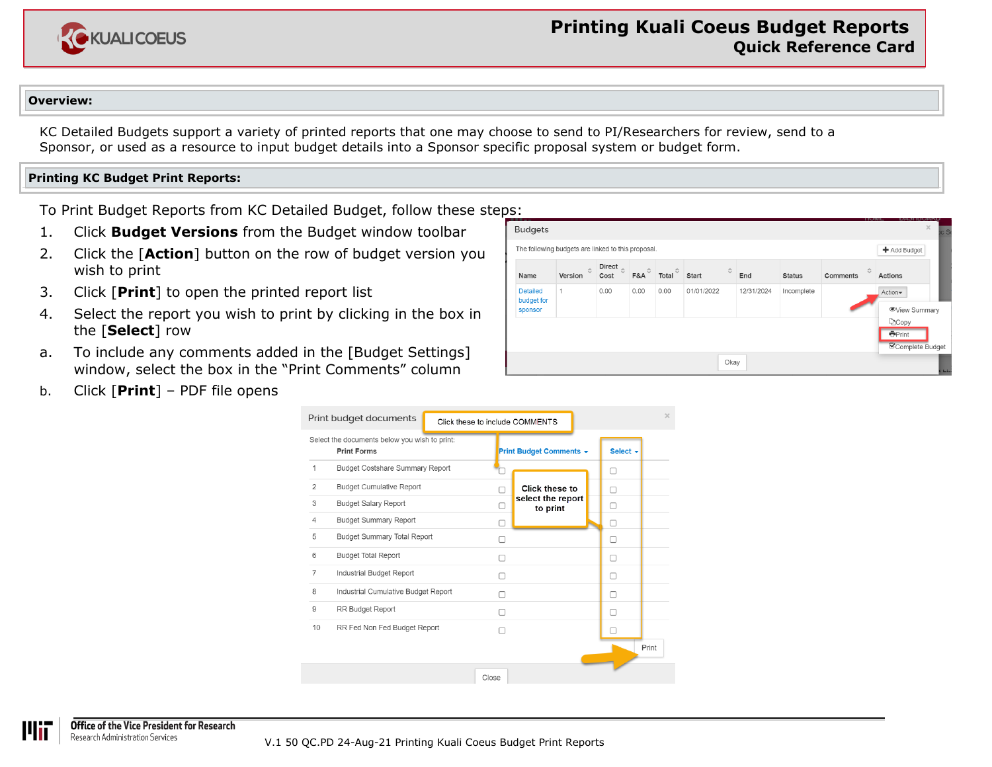

## **Overview:**

KC Detailed Budgets support a variety of printed reports that one may choose to send to PI/Researchers for review, send to a Sponsor, or used as a resource to input budget details into a Sponsor specific proposal system or budget form.

## **Printing KC Budget Print Reports:**

To Print Budget Reports from KC Detailed Budget, follow these steps:

- 1. Click **Budget Versions** from the Budget window toolbar
- 2. Click the [**Action**] button on the row of budget version you wish to print
- 3. Click [**Print**] to open the printed report list
- 4. Select the report you wish to print by clicking in the box in the [**Select**] row
- a. To include any comments added in the [Budget Settings] window, select the box in the "Print Comments" column
- b. Click [**Print**] PDF file opens